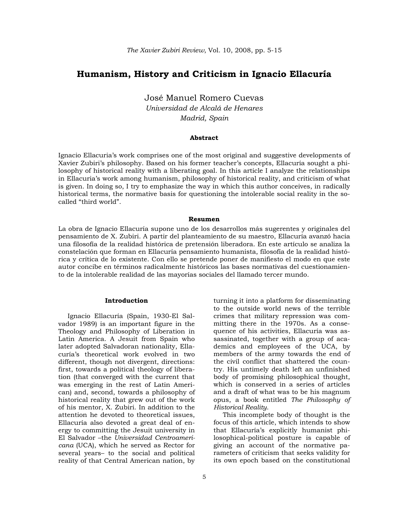# **Humanism, History and Criticism in Ignacio Ellacuría**

José Manuel Romero Cuevas *Universidad de Alcalá de Henares Madrid, Spain* 

## **Abstract**

Ignacio Ellacuria's work comprises one of the most original and suggestive developments of Xavier Zubiri's philosophy. Based on his former teacher's concepts, Ellacuría sought a philosophy of historical reality with a liberating goal. In this article I analyze the relationships in Ellacuria's work among humanism, philosophy of historical reality, and criticism of what is given. In doing so, I try to emphasize the way in which this author conceives, in radically historical terms, the normative basis for questioning the intolerable social reality in the socalled "third world".

#### **Resumen**

La obra de Ignacio Ellacuría supone uno de los desarrollos más sugerentes y originales del pensamiento de X. Zubiri. A partir del planteamiento de su maestro, Ellacuría avanzó hacia una filosofía de la realidad histórica de pretensión liberadora. En este artículo se analiza la constelación que forman en Ellacuría pensamiento humanista, filosofía de la realidad histórica y crítica de lo existente. Con ello se pretende poner de manifiesto el modo en que este autor concibe en términos radicalmente históricos las bases normativas del cuestionamiento de la intolerable realidad de las mayorías sociales del llamado tercer mundo.

#### **Introduction**

Ignacio Ellacuría (Spain, 1930-El Salvador 1989) is an important figure in the Theology and Philosophy of Liberation in Latin America. A Jesuit from Spain who later adopted Salvadoran nationality, Ellacuría's theoretical work evolved in two different, though not divergent, directions: first, towards a political theology of liberation (that converged with the current that was emerging in the rest of Latin American) and, second, towards a philosophy of historical reality that grew out of the work of his mentor, X. Zubiri. In addition to the attention he devoted to theoretical issues, Ellacuría also devoted a great deal of energy to committing the Jesuit university in El Salvador –the *Universidad Centroamericana* (UCA), which he served as Rector for several years– to the social and political reality of that Central American nation, by

turning it into a platform for disseminating to the outside world news of the terrible crimes that military repression was committing there in the 1970s. As a consequence of his activities, Ellacuría was assassinated, together with a group of academics and employees of the UCA, by members of the army towards the end of the civil conflict that shattered the country. His untimely death left an unfinished body of promising philosophical thought, which is conserved in a series of articles and a draft of what was to be his magnum opus, a book entitled *The Philosophy of Historical Reality*.

This incomplete body of thought is the focus of this article, which intends to show that Ellacuría's explicitly humanist philosophical-political posture is capable of giving an account of the normative parameters of criticism that seeks validity for its own epoch based on the constitutional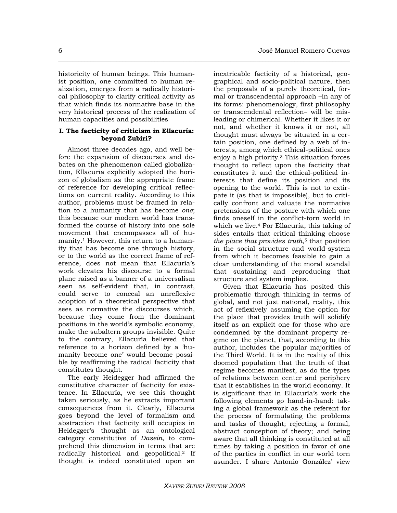historicity of human beings. This humanist position, one committed to human realization, emerges from a radically historical philosophy to clarify critical activity as that which finds its normative base in the very historical process of the realization of human capacities and possibilities

**\_\_\_\_\_\_\_\_\_\_\_\_\_\_\_\_\_\_\_\_\_\_\_\_\_\_\_\_\_\_\_\_\_\_\_\_\_\_\_\_\_\_\_\_\_\_\_\_\_\_\_\_\_\_\_\_\_\_\_\_\_\_\_\_\_\_\_\_\_\_\_\_\_\_\_\_\_\_\_\_\_\_\_\_\_\_\_\_\_\_\_\_\_\_\_\_\_\_\_\_** 

### **I. The facticity of criticism in Ellacuría: beyond Zubiri?**

Almost three decades ago, and well before the expansion of discourses and debates on the phenomenon called globalization, Ellacuría explicitly adopted the horizon of globalism as the appropriate frame of reference for developing critical reflections on current reality. According to this author, problems must be framed in relation to a humanity that has become *one*; this because our modern world has transformed the course of history into one sole movement that encompasses all of humanity.1 However, this return to a humanity that has become one through history, or to the world as the correct frame of reference, does not mean that Ellacuría's work elevates his discourse to a formal plane raised as a banner of a universalism seen as self-evident that, in contrast, could serve to conceal an unreflexive adoption of a theoretical perspective that sees as normative the discourses which, because they come from the dominant positions in the world's symbolic economy, make the subaltern groups invisible. Quite to the contrary, Ellacuría believed that reference to a horizon defined by a 'humanity become one' would become possible by reaffirming the radical facticity that constitutes thought.

The early Heidegger had affirmed the constitutive character of facticity for existence. In Ellacuría, we see this thought taken seriously, as he extracts important consequences from it. Clearly, Ellacuría goes beyond the level of formalism and abstraction that facticity still occupies in Heidegger's thought as an ontological category constitutive of *Dasein*, to comprehend this dimension in terms that are radically historical and geopolitical.2 If thought is indeed constituted upon an

inextricable facticity of a historical, geographical and socio-political nature, then the proposals of a purely theoretical, formal or transcendental approach –in any of its forms: phenomenology, first philosophy or transcendental reflection– will be misleading or chimerical. Whether it likes it or not, and whether it knows it or not, all thought must always be situated in a certain position, one defined by a web of interests, among which ethical-political ones enjoy a high priority.3 This situation forces thought to reflect upon the facticity that constitutes it and the ethical-political interests that define its position and its opening to the world. This is not to extirpate it (as that is impossible), but to critically confront and valuate the normative pretensions of the posture with which one finds oneself in the conflict-torn world in which we live.4 For Ellacuría, this taking of sides entails that critical thinking choose *the place that provides truth*,<sup>5</sup> that position in the social structure and world-system from which it becomes feasible to gain a clear understanding of the moral scandal that sustaining and reproducing that structure and system implies.

Given that Ellacuría has posited this problematic through thinking in terms of global, and not just national, reality, this act of reflexively assuming the option for the place that provides truth will solidify itself as an explicit one for those who are condemned by the dominant property regime on the planet, that, according to this author, includes the popular majorities of the Third World. It is in the reality of this doomed population that the truth of that regime becomes manifest, as do the types of relations between center and periphery that it establishes in the world economy. It is significant that in Ellacuría's work the following elements go hand-in-hand: taking a global framework as the referent for the process of formulating the problems and tasks of thought; rejecting a formal, abstract conception of theory; and being aware that all thinking is constituted at all times by taking a position in favor of one of the parties in conflict in our world torn asunder. I share Antonio González' view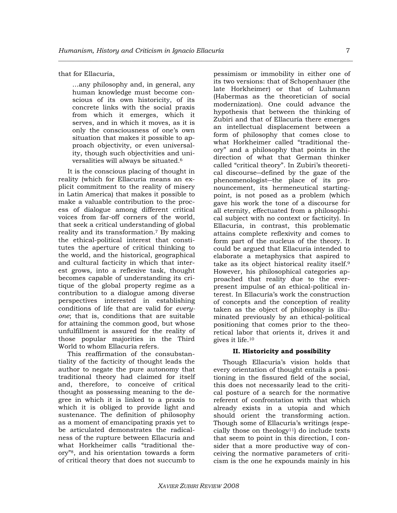that for Ellacuría,

…any philosophy and, in general, any human knowledge must become conscious of its own historicity, of its concrete links with the social praxis from which it emerges, which it serves, and in which it moves, as it is only the consciousness of one's own situation that makes it possible to approach objectivity, or even universality, though such objectivities and universalities will always be situated.6

It is the conscious placing of thought in reality (which for Ellacuría means an explicit commitment to the reality of misery in Latin America) that makes it possible to make a valuable contribution to the process of dialogue among different critical voices from far-off corners of the world, that seek a critical understanding of global reality and its transformation.7 By making the ethical-political interest that constitutes the aperture of critical thinking to the world, and the historical, geographical and cultural facticity in which that interest grows, into a reflexive task, thought becomes capable of understanding its critique of the global property regime as a contribution to a dialogue among diverse perspectives interested in establishing conditions of life that are valid for *everyone*; that is, conditions that are suitable for attaining the common good, but whose unfulfillment is assured for the reality of those popular majorities in the Third World to whom Ellacuría refers.

This reaffirmation of the consubstantiality of the facticity of thought leads the author to negate the pure autonomy that traditional theory had claimed for itself and, therefore, to conceive of critical thought as possessing meaning to the degree in which it is linked to a praxis to which it is obliged to provide light and sustenance. The definition of philosophy as a moment of emancipating praxis yet to be articulated demonstrates the radicalness of the rupture between Ellacuría and what Horkheimer calls "traditional theory"8, and his orientation towards a form of critical theory that does not succumb to

pessimism or immobility in either one of its two versions: that of Schopenhauer (the late Horkheimer) or that of Luhmann (Habermas as the theoretician of social modernization). One could advance the hypothesis that between the thinking of Zubiri and that of Ellacuría there emerges an intellectual displacement between a form of philosophy that comes close to what Horkheimer called "traditional theory" and a philosophy that points in the direction of what that German thinker called "critical theory". In Zubiri's theoretical discourse―defined by the gaze of the phenomenologist―the place of its pronouncement, its hermeneutical startingpoint, is not posed as a problem (which gave his work the tone of a discourse for all eternity, effectuated from a philosophical subject with no context or facticity). In Ellacuría, in contrast, this problematic attains complete reflexivity and comes to form part of the nucleus of the theory. It could be argued that Ellacuría intended to elaborate a metaphysics that aspired to take as its object historical reality itself.9 However, his philosophical categories approached that reality due to the everpresent impulse of an ethical-political interest. In Ellacuría's work the construction of concepts and the conception of reality taken as the object of philosophy is illuminated previously by an ethical-political positioning that comes prior to the theoretical labor that orients it, drives it and gives it life.10

#### **II. Historicity and possibility**

Though Ellacuría's vision holds that every orientation of thought entails a positioning in the fissured field of the social, this does not necessarily lead to the critical posture of a search for the normative referent of confrontation with that which already exists in a utopia and which should orient the transforming action. Though some of Ellacuría's writings (especially those on theology11) do include texts that seem to point in this direction, I consider that a more productive way of conceiving the normative parameters of criticism is the one he expounds mainly in his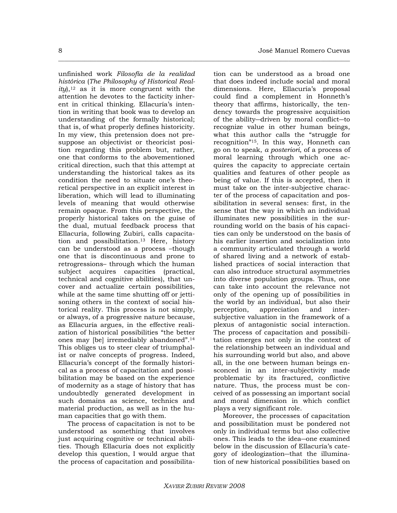8 José Manuel Romero Cuevas

unfinished work *Filosofía de la realidad histórica* (*The Philosophy of Historical Real* $ity$ ,<sup>12</sup> as it is more congruent with the attention he devotes to the facticity inherent in critical thinking. Ellacuría's intention in writing that book was to develop an understanding of the formally historical; that is, of what properly defines historicity. In my view, this pretension does not presuppose an objectivist or theoricist position regarding this problem but, rather, one that conforms to the abovementioned critical direction, such that this attempt at understanding the historical takes as its condition the need to situate one's theoretical perspective in an explicit interest in liberation, which will lead to illuminating levels of meaning that would otherwise remain opaque. From this perspective, the properly historical takes on the guise of the dual, mutual feedback process that Ellacuría, following Zubiri, calls capacitation and possibilitation.13 Here, history can be understood as a process –though one that is discontinuous and prone to retrogressions– through which the human subject acquires capacities (practical, technical and cognitive abilities), that uncover and actualize certain possibilities, while at the same time shutting off or jettisoning others in the context of social historical reality. This process is not simply, or always, of a progressive nature because, as Ellacuría argues, in the effective realization of historical possibilities "the better ones may [be] irremediably abandoned".14 This obliges us to steer clear of triumphalist or naïve concepts of progress. Indeed, Ellacuría's concept of the formally historical as a process of capacitation and possibilitation may be based on the experience of modernity as a stage of history that has undoubtedly generated development in such domains as science, technics and material production, as well as in the human capacities that go with them.

The process of capacitation is not to be understood as something that involves just acquiring cognitive or technical abilities. Though Ellacuría does not explicitly develop this question, I would argue that the process of capacitation and possibilita-

tion can be understood as a broad one that does indeed include social and moral dimensions. Here, Ellacuría's proposal could find a complement in Honneth's theory that affirms, historically, the tendency towards the progressive acquisition of the ability―driven by moral conflict―to recognize value in other human beings, what this author calls the "struggle for recognition"15. In this way, Honneth can go on to speak, *a posteriori*, of a process of moral learning through which one acquires the capacity to appreciate certain qualities and features of other people as being of value. If this is accepted, then it must take on the inter-subjective character of the process of capacitation and possibilitation in several senses: first, in the sense that the way in which an individual illuminates new possibilities in the surrounding world on the basis of his capacities can only be understood on the basis of his earlier insertion and socialization into a community articulated through a world of shared living and a network of established practices of social interaction that can also introduce structural asymmetries into diverse population groups. Thus, one can take into account the relevance not only of the opening up of possibilities in the world by an individual, but also their perception, appreciation and intersubjective valuation in the framework of a plexus of antagonistic social interaction. The process of capacitation and possibilitation emerges not only in the context of the relationship between an individual and his surrounding world but also, and above all, in the one between human beings ensconced in an inter-subjectivity made problematic by its fractured, conflictive nature. Thus, the process must be conceived of as possessing an important social and moral dimension in which conflict plays a very significant role.

Moreover, the processes of capacitation and possibilitation must be pondered not only in individual terms but also collective ones. This leads to the idea―one examined below in the discussion of Ellacuría's category of ideologization―that the illumination of new historical possibilities based on

**\_\_\_\_\_\_\_\_\_\_\_\_\_\_\_\_\_\_\_\_\_\_\_\_\_\_\_\_\_\_\_\_\_\_\_\_\_\_\_\_\_\_\_\_\_\_\_\_\_\_\_\_\_\_\_\_\_\_\_\_\_\_\_\_\_\_\_\_\_\_\_\_\_\_\_\_\_\_\_\_\_\_\_\_\_\_\_\_\_\_\_\_\_\_\_\_\_\_\_\_**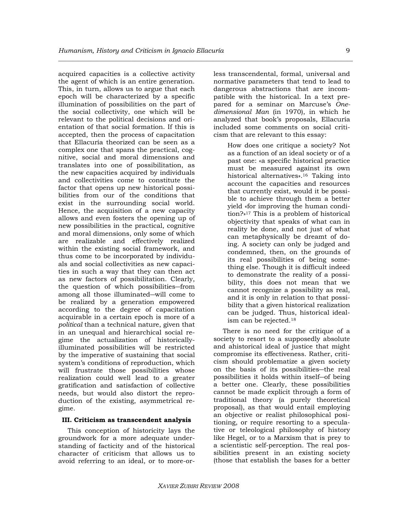acquired capacities is a collective activity the agent of which is an entire generation. This, in turn, allows us to argue that each epoch will be characterized by a specific illumination of possibilities on the part of the social collectivity, one which will be relevant to the political decisions and orientation of that social formation. If this is accepted, then the process of capacitation that Ellacuría theorized can be seen as a complex one that spans the practical, cognitive, social and moral dimensions and translates into one of possibilitation, as the new capacities acquired by individuals and collectivities come to constitute the factor that opens up new historical possibilities from our of the conditions that exist in the surrounding social world. Hence, the acquisition of a new capacity allows and even fosters the opening up of new possibilities in the practical, cognitive and moral dimensions, only some of which are realizable and effectively realized within the existing social framework, and thus come to be incorporated by individuals and social collectivities as new capacities in such a way that they can then act as new factors of possibilitation. Clearly, the question of which possibilities―from among all those illuminated―will come to be realized by a generation empowered according to the degree of capacitation acquirable in a certain epoch is more of a *political* than a technical nature, given that in an unequal and hierarchical social regime the actualization of historicallyilluminated possibilities will be restricted by the imperative of sustaining that social system's conditions of reproduction, which will frustrate those possibilities whose realization could well lead to a greater gratification and satisfaction of collective needs, but would also distort the reproduction of the existing, asymmetrical regime.

## **III. Criticism as transcendent analysis**

This conception of historicity lays the groundwork for a more adequate understanding of facticity and of the historical character of criticism that allows us to avoid referring to an ideal, or to more-orless transcendental, formal, universal and normative parameters that tend to lead to dangerous abstractions that are incompatible with the historical. In a text prepared for a seminar on Marcuse's *Onedimensional Man* (in 1970), in which he analyzed that book's proposals, Ellacuría included some comments on social criticism that are relevant to this essay:

> How does one critique a society? Not as a function of an ideal society or of a past one: «a specific historical practice must be measured against its own historical alternatives».16 Taking into account the capacities and resources that currently exist, would it be possible to achieve through them a better yield «for improving the human condition?»17 This is a problem of historical objectivity that speaks of what can in reality be done, and not just of what can metaphysically be dreamt of doing. A society can only be judged and condemned, then, on the grounds of its real possibilities of being something else. Though it is difficult indeed to demonstrate the reality of a possibility, this does not mean that we cannot recognize a possibility as real, and it is only in relation to that possibility that a given historical realization can be judged. Thus, historical idealism can be rejected.18

There is no need for the critique of a society to resort to a supposedly absolute and ahistorical ideal of justice that might compromise its effectiveness. Rather, criticism should problematize a given society on the basis of its possibilities―the real possibilities it holds within itself―of being a better one. Clearly, these possibilities cannot be made explicit through a form of traditional theory (a purely theoretical proposal), as that would entail employing an objective or realist philosophical positioning, or require resorting to a speculative or teleological philosophy of history like Hegel, or to a Marxism that is prey to a scientistic self-perception. The real possibilities present in an existing society (those that establish the bases for a better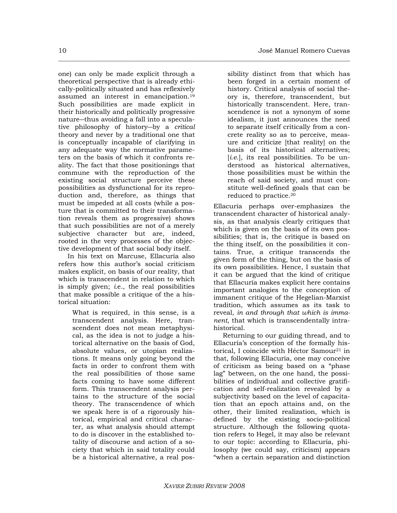one) can only be made explicit through a theoretical perspective that is already ethically-politically situated and has reflexively assumed an interest in emancipation.19 Such possibilities are made explicit in their historically and politically progressive nature―thus avoiding a fall into a speculative philosophy of history―by a *critical* theory and never by a traditional one that is conceptually incapable of clarifying in any adequate way the normative parameters on the basis of which it confronts reality. The fact that those positionings that commune with the reproduction of the existing social structure perceive these possibilities as dysfunctional for its reproduction and, therefore, as things that must be impeded at all costs (while a posture that is committed to their transformation reveals them as progressive) shows that such possibilities are not of a merely subjective character but are, indeed, rooted in the very processes of the objective development of that social body itself.

In his text on Marcuse, Ellacuría also refers how this author's social criticism makes explicit, on basis of our reality, that which is transcendent in relation to which is simply given; *i.*e., the real possibilities that make possible a critique of the a historical situation:

> What is required, in this sense, is a transcendent analysis. Here, transcendent does not mean metaphysical, as the idea is not to judge a historical alternative on the basis of God, absolute values, or utopian realizations. It means only going beyond the facts in order to confront them with the real possibilities of those same facts coming to have some different form. This transcendent analysis pertains to the structure of the social theory. The transcendence of which we speak here is of a rigorously historical, empirical and critical character, as what analysis should attempt to do is discover in the established totality of discourse and action of a society that which in said totality could be a historical alternative, a real pos

sibility distinct from that which has been forged in a certain moment of history. Critical analysis of social theory is, therefore, transcendent, but historically transcendent. Here, transcendence is not a synonym of some idealism, it just announces the need to separate itself critically from a concrete reality so as to perceive, measure and criticize [that reality] on the basis of its historical alternatives; [*i.e.*], its real possibilities. To be understood as historical alternatives, those possibilities must be within the reach of said society, and must constitute well-defined goals that can be reduced to practice.20

Ellacuría perhaps over-emphasizes the transcendent character of historical analysis, as that analysis clearly critiques that which is given on the basis of its own possibilities; that is, the critique is based on the thing itself, on the possibilities it contains. True, a critique transcends the given form of the thing, but on the basis of its own possibilities. Hence, I sustain that it can be argued that the kind of critique that Ellacuría makes explicit here contains important analogies to the conception of immanent critique of the Hegelian-Marxist tradition, which assumes as its task to reveal, *in and through that which is immanent*, that which is transcendentally intrahistorical.

Returning to our guiding thread, and to Ellacuría's conception of the formally historical, I coincide with Héctor Samour<sup>21</sup> in that, following Ellacuría, one may conceive of criticism as being based on a "phase lag" between, on the one hand, the possibilities of individual and collective gratification and self-realization revealed by a subjectivity based on the level of capacitation that an epoch attains and, on the other, their limited realization, which is defined by the existing socio-political structure. Although the following quotation refers to Hegel, it may also be relevant to our topic: according to Ellacuría, philosophy (we could say, criticism) appears "when a certain separation and distinction

**\_\_\_\_\_\_\_\_\_\_\_\_\_\_\_\_\_\_\_\_\_\_\_\_\_\_\_\_\_\_\_\_\_\_\_\_\_\_\_\_\_\_\_\_\_\_\_\_\_\_\_\_\_\_\_\_\_\_\_\_\_\_\_\_\_\_\_\_\_\_\_\_\_\_\_\_\_\_\_\_\_\_\_\_\_\_\_\_\_\_\_\_\_\_\_\_\_\_\_\_**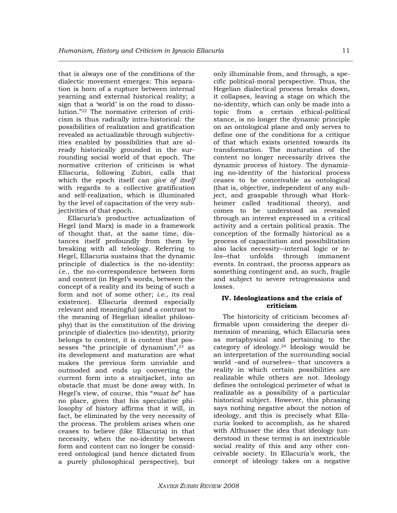that is always one of the conditions of the dialectic movement emerges: This separation is born of a rupture between internal yearning and external historical reality; a sign that a 'world' is on the road to dissolution."22 The normative criterion of criticism is thus radically intra-historical: the possibilities of realization and gratification revealed as actualizable through subjectivities enabled by possibilities that are already historically grounded in the surrounding social world of that epoch. The normative criterion of criticism is what Ellacuría, following Zubiri, calls that which the epoch itself can *give of itself* with regards to a collective gratification and self-realization, which is illuminated by the level of capacitation of the very subjectivities of that epoch.

Ellacuría's productive actualization of Hegel (and Marx) is made in a framework of thought that, at the same time, distances itself profoundly from them by breaking with all teleology. Referring to Hegel, Ellacuría sustains that the dynamic principle of dialectics is the no-identity: *i.*e., the no-correspondence between form and content (in Hegel's words, between the concept of a reality and its being of such a form and not of some other; *i.e.*, its real existence). Ellacuría deemed especially relevant and meaningful (and a contrast to the meaning of Hegelian idealist philosophy) that in the constitution of the driving principle of dialectics (no-identity), priority belongs to content, it is content that possesses "the principle of dynamism",<sup>23</sup> as its development and maturation are what makes the previous form unviable and outmoded and ends up converting the current form into a straitjacket, into an obstacle that must be done away with. In Hegel's view, of course, this "*must be*" has no place, given that his speculative philosophy of history affirms that it will, in fact, be eliminated by the very necessity of the process. The problem arises when one ceases to believe (like Ellacuría) in that necessity, when the no-identity between form and content can no longer be considered ontological (and hence dictated from a purely philosophical perspective), but only illuminable from, and through, a specific political-moral perspective. Thus, the Hegelian dialectical process breaks down, it collapses, leaving a stage on which the no-identity, which can only be made into a topic from a certain ethical-political stance, is no longer the dynamic principle on an ontological plane and only serves to define one of the conditions for a critique of that which exists oriented towards its transformation. The maturation of the content no longer necessarily drives the dynamic process of history. The dynamizing no-identity of the historical process ceases to be conceivable as ontological (that is, objective, independent of any subject, and graspable through what Horkheimer called traditional theory), and comes to be understood as revealed through an interest expressed in a critical activity and a certain political praxis. The conception of the formally historical as a process of capacitation and possibilitation also lacks necessity―internal logic or *telos*―that unfolds through immanent events. In contrast, the process appears as something contingent and, as such, fragile and subject to severe retrogressions and losses.

# **IV. Ideologizations and the crisis of criticism**

The historicity of criticism becomes affirmable upon considering the deeper dimension of meaning, which Ellacuría sees as metaphysical and pertaining to the category of ideology.24 Ideology would be an interpretation of the surrounding social world –and of ourselves– that uncovers a reality in which certain possibilities are realizable while others are not. Ideology defines the ontological perimeter of what is realizable as a possibility of a particular historical subject. However, this phrasing says nothing negative about the notion of ideology, and this is precisely what Ellacuría looked to accomplish, as he shared with Althusser the idea that ideology (understood in these terms) is an inextricable social reality of this and any other conceivable society. In Ellacuría's work, the concept of ideology takes on a negative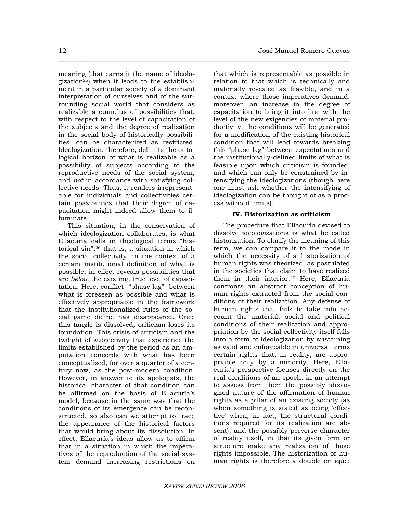meaning (that earns it the name of ideologization25) when it leads to the establishment in a particular society of a dominant interpretation of ourselves and of the surrounding social world that considers as realizable a cumulus of possibilities that, with respect to the level of capacitation of the subjects and the degree of realization in the social body of historically possibilities, can be characterized as restricted. Ideologization, therefore, delimits the ontological horizon of what is realizable as a possibility of subjects according to the reproductive needs of the social system, and *not* in accordance with satisfying collective needs. Thus, it renders irrepresentable for individuals and collectivities certain possibilities that their degree of capacitation might indeed allow them to illuminate.

This situation, in the conservation of which ideologization collaborates, is what Ellacuría calls in theological terms "historical sin";26 that is, a situation in which the social collectivity, in the context of a certain institutional definition of what is possible, in effect reveals possibilities that are *below* the existing, true level of capacitation. Here, conflict―"phase lag"―between what is foreseen as possible and what is effectively appropriable in the framework that the institutionalized rules of the social game define has disappeared. Once this tangle is dissolved, criticism loses its foundation. This crisis of criticism and the twilight of subjectivity that experience the limits established by the period as an amputation concords with what has been conceptualized, for over a quarter of a century now, as the post-modern condition. However, in answer to its apologists, the historical character of that condition can be affirmed on the basis of Ellacuría's model, because in the same way that the conditions of its emergence can be reconstructed, so also can we attempt to trace the appearance of the historical factors that would bring about its dissolution. In effect, Ellacuría's ideas allow us to affirm that in a situation in which the imperatives of the reproduction of the social system demand increasing restrictions on

that which is representable as possible in relation to that which is technically and materially revealed as feasible, and in a context where those imperatives demand, moreover, an increase in the degree of capacitation to bring it into line with the level of the new exigencies of material productivity, the conditions will be generated for a modification of the existing historical condition that will lead towards breaking this "phase lag" between expectations and the institutionally-defined limits of what is feasible upon which criticism is founded, and which can only be constrained by intensifying the ideologizations (though here one must ask whether the intensifying of ideologization can be thought of as a process without limits).

## **IV. Historization as criticism**

The procedure that Ellacuría devised to dissolve ideologizations is what he called historization. To clarify the meaning of this term, we can compare it to the mode in which the necessity of a historization of human rights was theorized, as postulated in the societies that claim to have realized them in their interior.27 Here, Ellacuría confronts an abstract conception of human rights extracted from the social conditions of their realization. Any defense of human rights that fails to take into account the material, social and political conditions of their realization and appropriation by the social collectivity itself falls into a form of ideologization by sustaining as valid and enforceable in universal terms certain rights that, in reality, are appropriable only by a minority. Here, Ellacuría's perspective focuses directly on the real conditions of an epoch, in an attempt to assess from them the possibly ideologized nature of the affirmation of human rights as a pillar of an existing society (as when something is stated as being 'effective' when, in fact, the structural conditions required for its realization are absent), and the possibly perverse character of reality itself, in that its given form or structure make any realization of those rights impossible. The historization of human rights is therefore a double critique:

**\_\_\_\_\_\_\_\_\_\_\_\_\_\_\_\_\_\_\_\_\_\_\_\_\_\_\_\_\_\_\_\_\_\_\_\_\_\_\_\_\_\_\_\_\_\_\_\_\_\_\_\_\_\_\_\_\_\_\_\_\_\_\_\_\_\_\_\_\_\_\_\_\_\_\_\_\_\_\_\_\_\_\_\_\_\_\_\_\_\_\_\_\_\_\_\_\_\_\_\_**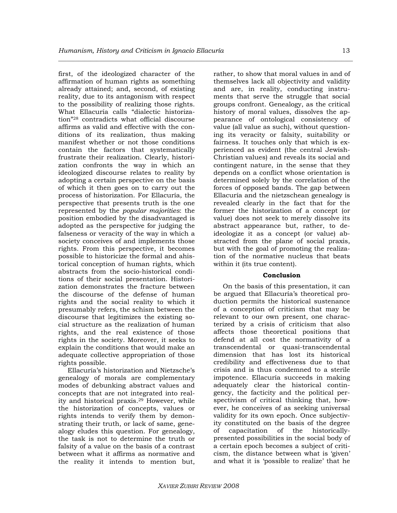first, of the ideologized character of the affirmation of human rights as something already attained; and, second, of existing reality, due to its antagonism with respect to the possibility of realizing those rights. What Ellacuría calls "dialectic historization"28 contradicts what official discourse affirms as valid and effective with the conditions of its realization, thus making manifest whether or not those conditions contain the factors that systematically frustrate their realization. Clearly, historization confronts the way in which an ideologized discourse relates to reality by adopting a certain perspective on the basis of which it then goes on to carry out the process of historization. For Ellacuría, the perspective that presents truth is the one represented by the *popular majorities*: the position embodied by the disadvantaged is adopted as the perspective for judging the falseness or veracity of the way in which a society conceives of and implements those rights. From this perspective, it becomes possible to historicize the formal and ahistorical conception of human rights, which abstracts from the socio-historical conditions of their social presentation. Historization demonstrates the fracture between the discourse of the defense of human rights and the social reality to which it presumably refers, the schism between the discourse that legitimizes the existing social structure as the realization of human rights, and the real existence of those rights in the society. Moreover, it seeks to explain the conditions that would make an adequate collective appropriation of those rights possible.

Ellacuría's historization and Nietzsche's genealogy of morals are complementary modes of debunking abstract values and concepts that are not integrated into reality and historical praxis.29 However, while the historization of concepts, values or rights intends to verify them by demonstrating their truth, or lack of same, genealogy eludes this question. For genealogy, the task is not to determine the truth or falsity of a value on the basis of a contrast between what it affirms as normative and the reality it intends to mention but, rather, to show that moral values in and of themselves lack all objectivity and validity and are, in reality, conducting instruments that serve the struggle that social groups confront. Genealogy, as the critical history of moral values, dissolves the appearance of ontological consistency of value (all value as such), without questioning its veracity or falsity, suitability or fairness. It touches only that which is experienced as evident (the central Jewish-Christian values) and reveals its social and contingent nature, in the sense that they depends on a conflict whose orientation is determined solely by the correlation of the forces of opposed bands. The gap between Ellacuría and the nietzschean genealogy is revealed clearly in the fact that for the former the historization of a concept (or value) does not seek to merely dissolve its abstract appearance but, rather, to deideologize it as a concept (or value) abstracted from the plane of social praxis, but with the goal of promoting the realization of the normative nucleus that beats within it (its true content).

## **Conclusion**

On the basis of this presentation, it can be argued that Ellacuría's theoretical production permits the historical sustenance of a conception of criticism that may be relevant to our own present, one characterized by a crisis of criticism that also affects those theoretical positions that defend at all cost the normativity of a transcendental or quasi-transcendental dimension that has lost its historical credibility and effectiveness due to that crisis and is thus condemned to a sterile impotence. Ellacuría succeeds in making adequately clear the historical contingency, the facticity and the political perspectivism of critical thinking that, however, he conceives of as seeking universal validity for its own epoch. Once subjectivity constituted on the basis of the degree of capacitation of the historicallypresented possibilities in the social body of a certain epoch becomes a subject of criticism, the distance between what is 'given' and what it is 'possible to realize' that he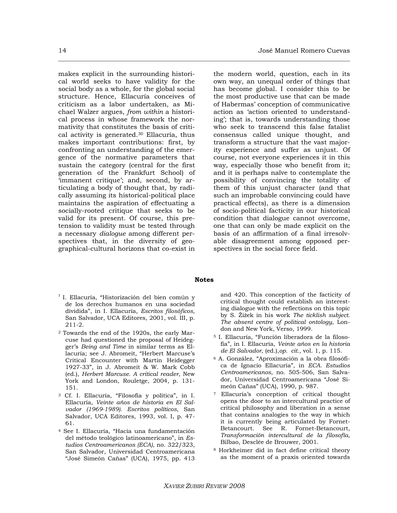makes explicit in the surrounding historical world seeks to have validity for the social body as a whole, for the global social structure. Hence, Ellacuría conceives of criticism as a labor undertaken, as Michael Walzer argues, *from within* a historical process in whose framework the normativity that constitutes the basis of critical activity is generated.30 Ellacuría, thus makes important contributions: first, by confronting an understanding of the emergence of the normative parameters that sustain the category (central for the first generation of the Frankfurt School) of 'immanent critique'; and, second, by articulating a body of thought that, by radically assuming its historical-political place maintains the aspiration of effectuating a socially-rooted critique that seeks to be valid for its present. Of course, this pretension to validity must be tested through a necessary *dialogue* among different perspectives that, in the diversity of geographical-cultural horizons that co-exist in

the modern world, question, each in its own way, an unequal order of things that has become global. I consider this to be the most productive use that can be made of Habermas' conception of communicative action as 'action oriented to understanding'; that is, towards understanding those who seek to transcend this false fatalist consensus called unique thought, and transform a structure that the vast majority experience and suffer as unjust. Of course, not everyone experiences it in this way, especially those who benefit from it; and it is perhaps naïve to contemplate the possibility of convincing the totality of them of this unjust character (and that such an improbable convincing could have practical effects), as there is a dimension of socio-political facticity in our historical condition that dialogue cannot overcome, one that can only be made explicit on the basis of an affirmation of a final irresolvable disagreement among opposed perspectives in the social force field.

#### **Notes**

**\_\_\_\_\_\_\_\_\_\_\_\_\_\_\_\_\_\_\_\_\_\_\_\_\_\_\_\_\_\_\_\_\_\_\_\_\_\_\_\_\_\_\_\_\_\_\_\_\_\_\_\_\_\_\_\_\_\_\_\_\_\_\_\_\_\_\_\_\_\_\_\_\_\_\_\_\_\_\_\_\_\_\_\_\_\_\_\_\_\_\_\_\_\_\_\_\_\_\_\_** 

- $1$ I. Ellacuría, "Historización del bien común y de los derechos humanos en una sociedad dividida", in I. Ellacuría, *Escritos filosóficos*, San Salvador, UCA Editores, 2001, vol. III, p. 211-2.
- 2 Towards the end of the 1920s, the early Marcuse had questioned the proposal of Heidegger's *Being and Time* in similar terms as Ellacuría; see J. Abromeit, "Herbert Marcuse's Critical Encounter with Martin Heidegger 1927-33", in J. Abromeit & W. Mark Cobb (ed.), *Herbert Marcuse. A critical reader*, New York and London, Rouletge, 2004, p. 131- 151.
- 3 Cf. I. Ellacuría, "Filosofía y política", in I. Ellacuría, *Veinte años de historia en El Salvador (1969-1989). Escritos políticos*, San Salvador, UCA Editores, 1993, vol. I, p. 47- 61.
- 4 See I. Ellacuría, "Hacia una fundamentación del método teológico latinoamericano", in *Estudios Centroamericanos (ECA)*, no. 322/323, San Salvador, Universidad Centroamericana "José Simeón Cañas" (UCA), 1975, pp. 413

and 420. This conception of the facticity of critical thought could establish an interesting dialogue with the reflections on this topic by S. Žižek in his work *The ticklish subject. The absent centre of political ontology*, London and New York, Verso, 1999.

- 5 I. Ellacuría, "Función liberadora de la filosofía", in I. Ellacuría, *Veinte años en la historia de El Salvador*, (ed.),*op. cit*., vol. 1, p. 115.
- 6 A. González, "Aproximación a la obra filosófica de Ignacio Ellacuría", in *ECA. Estudios Centroamericanos*, no. 505-506, San Salvador, Universidad Centroamericana "José Simeón Cañas" (UCA), 1990, p. 987.
- 7 Ellacuría's conception of critical thought opens the door to an intercultural practice of critical philosophy and liberation in a sense that contains analogies to the way in which it is currently being articulated by Fornet-Betancourt. See R. Fornet-Betancourt, *Transformación intercultural de la filosofía*, Bilbao, Desclée de Brouwer, 2001.
- 8 Horkheimer did in fact define critical theory as the moment of a praxis oriented towards